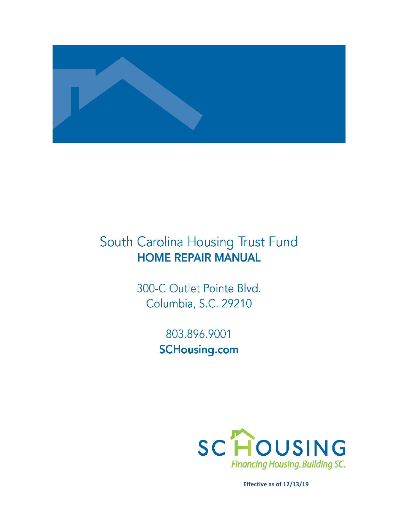

# South Carolina Housing Trust Fund **HOME REPAIR MANUAL**

300-C Outlet Pointe Blvd. Columbia, S.C. 29210

> 803.896.9001 **SCHousing.com**



**Effective as of 12/13/19**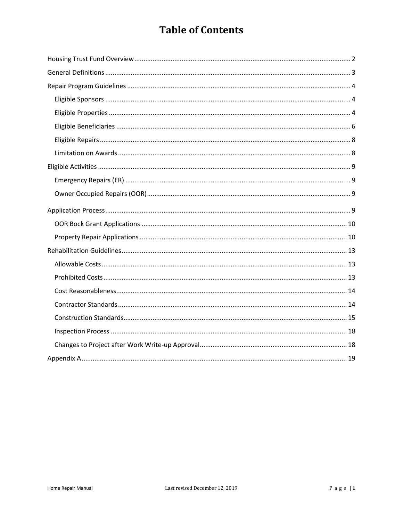## **Table of Contents**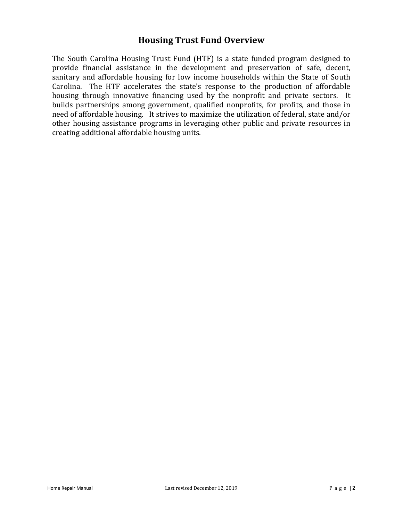## **Housing Trust Fund Overview**

The South Carolina Housing Trust Fund (HTF) is a state funded program designed to provide financial assistance in the development and preservation of safe, decent, sanitary and affordable housing for low income households within the State of South Carolina. The HTF accelerates the state's response to the production of affordable housing through innovative financing used by the nonprofit and private sectors. It builds partnerships among government, qualified nonprofits, for profits, and those in need of affordable housing. It strives to maximize the utilization of federal, state and/or other housing assistance programs in leveraging other public and private resources in creating additional affordable housing units.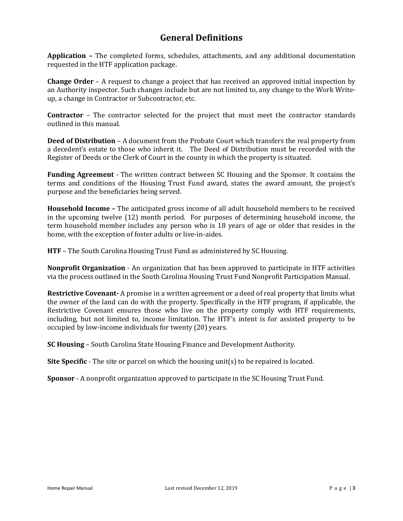## **General Definitions**

**Application –** The completed forms, schedules, attachments, and any additional documentation requested in the HTF application package.

**Change Order** – A request to change a project that has received an approved initial inspection by an Authority inspector. Such changes include but are not limited to, any change to the Work Writeup, a change in Contractor or Subcontractor, etc.

**Contractor** – The contractor selected for the project that must meet the contractor standards outlined in this manual.

**Deed of Distribution** – A document from the Probate Court which transfers the real property from a decedent's estate to those who inherit it. The Deed of Distribution must be recorded with the Register of Deeds or the Clerk of Court in the county in which the property is situated.

**Funding Agreement** - The written contract between SC Housing and the Sponsor. It contains the terms and conditions of the Housing Trust Fund award, states the award amount, the project's purpose and the beneficiaries being served.

**Household Income –** The anticipated gross income of all adult household members to be received in the upcoming twelve (12) month period.For purposes of determining household income, the term household member includes any person who is 18 years of age or older that resides in the home, with the exception of foster adults or live-in-aides.

**HTF** – The South Carolina Housing Trust Fund as administered by SC Housing.

**Nonprofit Organization** - An organization that has been approved to participate in HTF activities via the process outlined in the South Carolina Housing Trust Fund Nonprofit Participation Manual.

**Restrictive Covenant-** A promise in a written agreement or a deed of real property that limits what the owner of the land can do with the property. Specifically in the HTF program, if applicable, the Restrictive Covenant ensures those who live on the property comply with HTF requirements, including, but not limited to, income limitation. The HTF's intent is for assisted property to be occupied by low-income individuals for twenty (20) years.

**SC Housing** – South Carolina State Housing Finance and Development Authority.

**Site Specific** - The site or parcel on which the housing unit(s) to be repaired is located.

**Sponsor** - A nonprofit organization approved to participate in the SC Housing Trust Fund.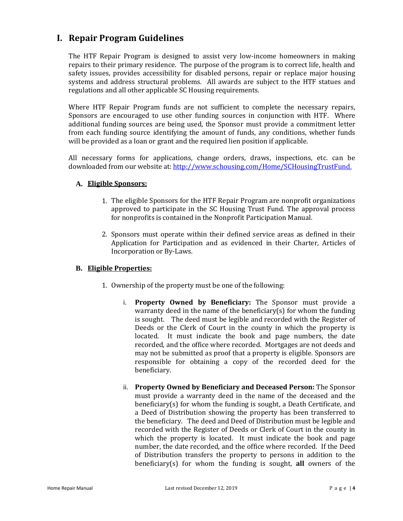## **I. Repair Program Guidelines**

The HTF Repair Program is designed to assist very low-income homeowners in making repairs to their primary residence. The purpose of the program is to correct life, health and safety issues, provides accessibility for disabled persons, repair or replace major housing systems and address structural problems. All awards are subject to the HTF statues and regulations and all other applicable SC Housing requirements.

Where HTF Repair Program funds are not sufficient to complete the necessary repairs, Sponsors are encouraged to use other funding sources in conjunction with HTF. Where additional funding sources are being used, the Sponsor must provide a commitment letter from each funding source identifying the amount of funds, any conditions, whether funds will be provided as a loan or grant and the required lien position if applicable.

All necessary forms for applications, change orders, draws, inspections, etc. can be downloaded from ou[r website at: http://www.schousing.com/Home/SCHousingTrustFund.](http://www.schousing.com/Home/SCHousingTrustFund)

#### **A. Eligible Sponsors:**

- 1. The eligible Sponsors for the HTF Repair Program are nonprofit organizations approved to participate in the SC Housing Trust Fund. The approval process for nonprofits is contained in the Nonprofit Participation Manual.
- 2. Sponsors must operate within their defined service areas as defined in their Application for Participation and as evidenced in their Charter, Articles of Incorporation or By-Laws.

#### **B. Eligible Properties:**

- 1. Ownership of the property must be one of the following:
	- i. **Property Owned by Beneficiary:** The Sponsor must provide a warranty deed in the name of the beneficiary(s) for whom the funding is sought. The deed must be legible and recorded with the Register of Deeds or the Clerk of Court in the county in which the property is located. It must indicate the book and page numbers, the date recorded, and the office where recorded. Mortgages are not deeds and may not be submitted as proof that a property is eligible. Sponsors are responsible for obtaining a copy of the recorded deed for the beneficiary.
	- ii. **Property Owned by Beneficiary and Deceased Person:** The Sponsor must provide a warranty deed in the name of the deceased and the beneficiary(s) for whom the funding is sought, a Death Certificate, and a Deed of Distribution showing the property has been transferred to the beneficiary. The deed and Deed of Distribution must be legible and recorded with the Register of Deeds or Clerk of Court in the county in which the property is located. It must indicate the book and page number, the date recorded, and the office where recorded. If the Deed of Distribution transfers the property to persons in addition to the beneficiary(s) for whom the funding is sought, **all** owners of the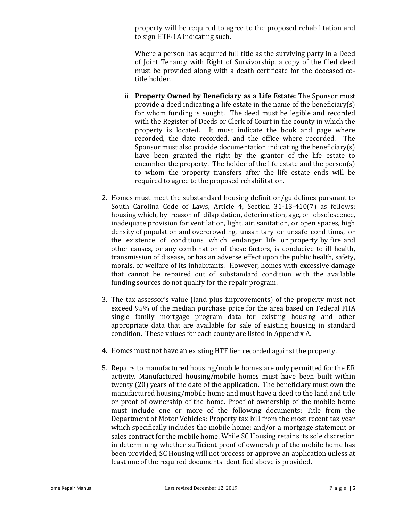property will be required to agree to the proposed rehabilitation and to sign HTF-1A indicating such.

Where a person has acquired full title as the surviving party in a Deed of Joint Tenancy with Right of Survivorship, a copy of the filed deed must be provided along with a death certificate for the deceased cotitle holder.

- iii. **Property Owned by Beneficiary as a Life Estate:** The Sponsor must provide a deed indicating a life estate in the name of the beneficiary(s) for whom funding is sought. The deed must be legible and recorded with the Register of Deeds or Clerk of Court in the county in which the property is located. It must indicate the book and page where recorded, the date recorded, and the office where recorded. The Sponsor must also provide documentation indicating the beneficiary(s) have been granted the right by the grantor of the life estate to encumber the property. The holder of the life estate and the person(s) to whom the property transfers after the life estate ends will be required to agree to the proposed rehabilitation.
- 2. Homes must meet the substandard housing definition/guidelines pursuant to South Carolina Code of Laws, Article 4, Section 31-13-410(7) as follows: housing which, by reason of dilapidation, deterioration, age, or obsolescence, inadequate provision for ventilation, light, air, sanitation, or open spaces, high density of population and overcrowding, unsanitary or unsafe conditions, or the existence of conditions which endanger life or property by fire and other causes, or any combination of these factors, is conducive to ill health, transmission of disease, or has an adverse effect upon the public health, safety, morals, or welfare of its inhabitants. However, homes with excessive damage that cannot be repaired out of substandard condition with the available funding sources do not qualify for the repair program.
- 3. The tax assessor's value (land plus improvements) of the property must not exceed 95% of the median purchase price for the area based on Federal FHA single family mortgage program data for existing housing and other appropriate data that are available for sale of existing housing in standard condition. These values for each county are listed in Appendix A.
- 4. Homes must not have an existing HTF lien recorded against the property.
- 5. Repairs to manufactured housing/mobile homes are only permitted for the ER activity. Manufactured housing/mobile homes must have been built within twenty (20) years of the date of the application. The beneficiary must own the manufactured housing/mobile home and must have a deed to the land and title or proof of ownership of the home. Proof of ownership of the mobile home must include one or more of the following documents: Title from the Department of Motor Vehicles; Property tax bill from the most recent tax year which specifically includes the mobile home; and/or a mortgage statement or sales contract for the mobile home. While SC Housing retains its sole discretion in determining whether sufficient proof of ownership of the mobile home has been provided, SC Housing will not process or approve an application unless at least one of the required documents identified above is provided.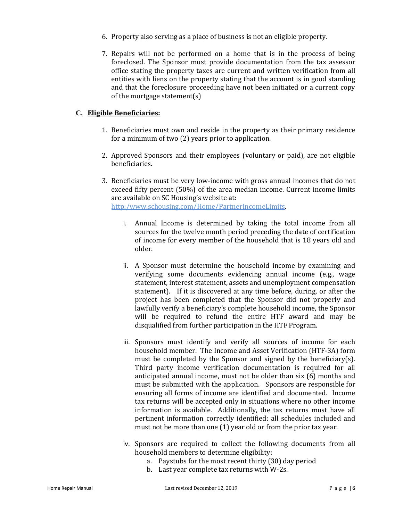- 6. Property also serving as a place of business is not an eligible property.
- 7. Repairs will not be performed on a home that is in the process of being foreclosed. The Sponsor must provide documentation from the tax assessor office stating the property taxes are current and written verification from all entities with liens on the property stating that the account is in good standing and that the foreclosure proceeding have not been initiated or a current copy of the mortgage statement(s)

#### **C. Eligible Beneficiaries:**

- 1. Beneficiaries must own and reside in the property as their primary residence for a minimum of two (2) years prior to application.
- 2. Approved Sponsors and their employees (voluntary or paid), are not eligible beneficiaries.
- 3. Beneficiaries must be very low-income with gross annual incomes that do not exceed fifty percent (50%) of the area median income. Current income limits are available on SC Housing's website at: http:/www.schousing.com/Home/PartnerIncomeLimits.
	- i. Annual Income is determined by taking the total income from all sources for the twelve month period preceding the date of certification of income for every member of the household that is 18 years old and older.
	- ii. A Sponsor must determine the household income by examining and verifying some documents evidencing annual income (e.g., wage statement, interest statement, assets and unemployment compensation statement). If it is discovered at any time before, during, or after the project has been completed that the Sponsor did not properly and lawfully verify a beneficiary's complete household income, the Sponsor will be required to refund the entire HTF award and may be disqualified from further participation in the HTF Program.
	- iii. Sponsors must identify and verify all sources of income for each household member. The Income and Asset Verification (HTF-3A) form must be completed by the Sponsor and signed by the beneficiary(s). Third party income verification documentation is required for all anticipated annual income, must not be older than six (6) months and must be submitted with the application. Sponsors are responsible for ensuring all forms of income are identified and documented. Income tax returns will be accepted only in situations where no other income information is available. Additionally, the tax returns must have all pertinent information correctly identified; all schedules included and must not be more than one (1) year old or from the prior tax year.
	- iv. Sponsors are required to collect the following documents from all household members to determine eligibility:
		- a. Paystubs for the most recent thirty (30) day period
		- b. Last year complete tax returns with W-2s.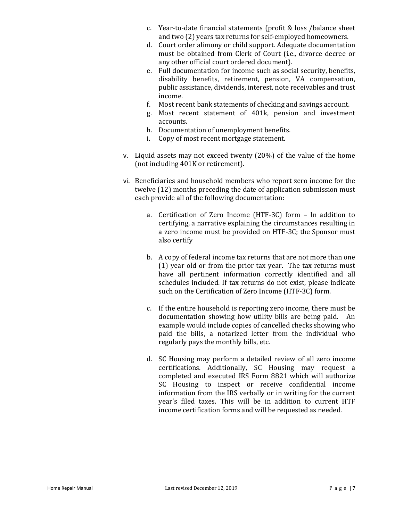- c. Year-to-date financial statements (profit & loss /balance sheet and two (2) years tax returns for self-employed homeowners.
- d. Court order alimony or child support. Adequate documentation must be obtained from Clerk of Court (i.e., divorce decree or any other official court ordered document).
- e. Full documentation for income such as social security, benefits, disability benefits, retirement, pension, VA compensation, public assistance, dividends, interest, note receivables and trust income.
- f. Most recent bank statements of checking and savings account.
- g. Most recent statement of 401k, pension and investment accounts.
- h. Documentation of unemployment benefits.
- i. Copy of most recent mortgage statement.
- v. Liquid assets may not exceed twenty (20%) of the value of the home (not including 401K or retirement).
- vi. Beneficiaries and household members who report zero income for the twelve (12) months preceding the date of application submission must each provide all of the following documentation:
	- a. Certification of Zero Income (HTF-3C) form In addition to certifying, a narrative explaining the circumstances resulting in a zero income must be provided on HTF-3C; the Sponsor must also certify
	- b. A copy of federal income tax returns that are not more than one (1) year old or from the prior tax year. The tax returns must have all pertinent information correctly identified and all schedules included. If tax returns do not exist, please indicate such on the Certification of Zero Income (HTF-3C) form.
	- c. If the entire household is reporting zero income, there must be documentation showing how utility bills are being paid. An example would include copies of cancelled checks showing who paid the bills, a notarized letter from the individual who regularly pays the monthly bills, etc.
	- d. SC Housing may perform a detailed review of all zero income certifications. Additionally, SC Housing may request a completed and executed IRS Form 8821 which will authorize SC Housing to inspect or receive confidential income information from the IRS verbally or in writing for the current year's filed taxes. This will be in addition to current HTF income certification forms and will be requested as needed.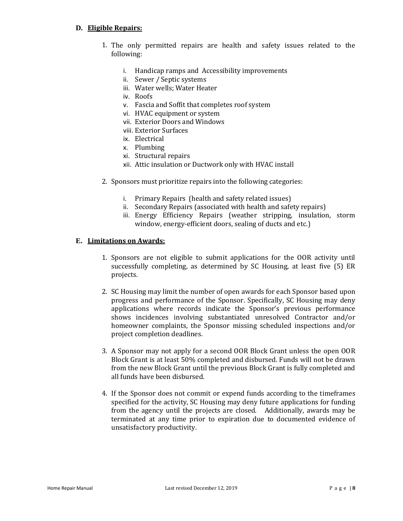#### **D. Eligible Repairs:**

- 1. The only permitted repairs are health and safety issues related to the following:
	- i. Handicap ramps and Accessibility improvements
	- ii. Sewer / Septic systems
	- iii. Water wells; Water Heater
	- iv. Roofs
	- v. Fascia and Soffit that completes roof system
	- vi. HVAC equipment or system
	- vii. Exterior Doors and Windows
	- viii. Exterior Surfaces
	- ix. Electrical
	- x. Plumbing
	- xi. Structural repairs
	- xii. Attic insulation or Ductwork only with HVAC install
- 2. Sponsors must prioritize repairs into the following categories:
	- i. Primary Repairs (health and safety related issues)
	- ii. Secondary Repairs (associated with health and safety repairs)
	- iii. Energy Efficiency Repairs (weather stripping, insulation, storm window, energy-efficient doors, sealing of ducts and etc.)

#### **E. Limitations on Awards:**

- 1. Sponsors are not eligible to submit applications for the OOR activity until successfully completing, as determined by SC Housing, at least five (5) ER projects.
- 2. SC Housing may limit the number of open awards for each Sponsor based upon progress and performance of the Sponsor. Specifically, SC Housing may deny applications where records indicate the Sponsor's previous performance shows incidences involving substantiated unresolved Contractor and/or homeowner complaints, the Sponsor missing scheduled inspections and/or project completion deadlines.
- 3. A Sponsor may not apply for a second OOR Block Grant unless the open OOR Block Grant is at least 50% completed and disbursed. Funds will not be drawn from the new Block Grant until the previous Block Grant is fully completed and all funds have been disbursed.
- 4. If the Sponsor does not commit or expend funds according to the timeframes specified for the activity, SC Housing may deny future applications for funding from the agency until the projects are closed. Additionally, awards may be terminated at any time prior to expiration due to documented evidence of unsatisfactory productivity.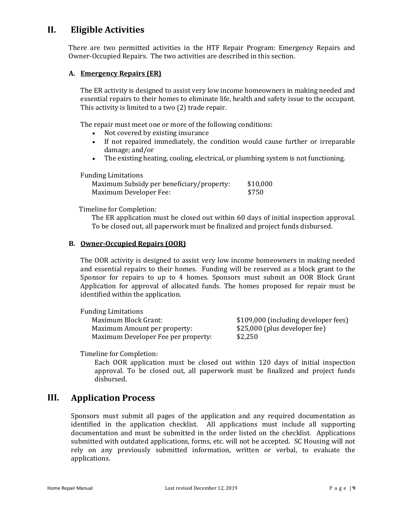## **II. Eligible Activities**

There are two permitted activities in the HTF Repair Program: Emergency Repairs and Owner-Occupied Repairs. The two activities are described in this section.

#### **A. Emergency Repairs (ER)**

The ER activity is designed to assist very low income homeowners in making needed and essential repairs to their homes to eliminate life, health and safety issue to the occupant. This activity is limited to a two (2) trade repair.

The repair must meet one or more of the following conditions:

- Not covered by existing insurance
- If not repaired immediately, the condition would cause further or irreparable damage; and/or
- The existing heating, cooling, electrical, or plumbing system is not functioning.

Funding Limitations

| Maximum Subsidy per beneficiary/property: | \$10,000 |
|-------------------------------------------|----------|
| Maximum Developer Fee:                    | \$750    |

Timeline for Completion:

The ER application must be closed out within 60 days of initial inspection approval. To be closed out, all paperwork must be finalized and project funds disbursed.

#### **B. Owner-Occupied Repairs (OOR)**

The OOR activity is designed to assist very low income homeowners in making needed and essential repairs to their homes. Funding will be reserved as a block grant to the Sponsor for repairs to up to 4 homes. Sponsors must submit an OOR Block Grant Application for approval of allocated funds. The homes proposed for repair must be identified within the application.

| <b>Funding Limitations</b>          |                                      |
|-------------------------------------|--------------------------------------|
| Maximum Block Grant:                | \$109,000 (including developer fees) |
| Maximum Amount per property:        | \$25,000 (plus developer fee)        |
| Maximum Developer Fee per property: | \$2,250                              |

Timeline for Completion:

Each OOR application must be closed out within 120 days of initial inspection approval. To be closed out, all paperwork must be finalized and project funds disbursed.

### **III. Application Process**

Sponsors must submit all pages of the application and any required documentation as identified in the application checklist. All applications must include all supporting documentation and must be submitted in the order listed on the checklist. Applications submitted with outdated applications, forms, etc. will not be accepted. SC Housing will not rely on any previously submitted information, written or verbal, to evaluate the applications.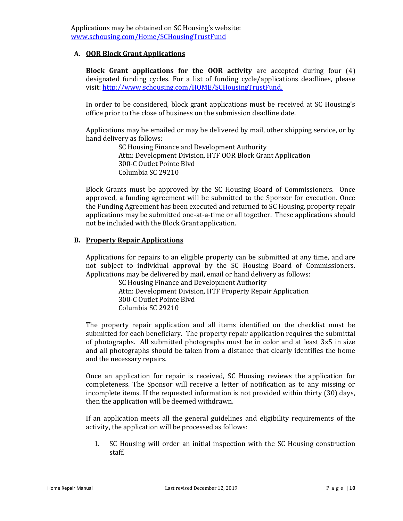#### **A. OOR Block Grant Applications**

**Block Grant applications for the OOR activity** are accepted during four (4) designated funding cycles. For a list of funding cycle/applications deadlines, please visit: [http://www.schousing.com/HOME/SCHousingTrustFund.](http://www.schousing.com/HOME/SCHousingTrustFund)

In order to be considered, block grant applications must be received at SC Housing's office prior to the close of business on the submission deadline date.

Applications may be emailed or may be delivered by mail, other shipping service, or by hand delivery as follows:

> SC Housing Finance and Development Authority Attn: Development Division, HTF OOR Block Grant Application 300-C Outlet Pointe Blvd Columbia SC 29210

Block Grants must be approved by the SC Housing Board of Commissioners. Once approved, a funding agreement will be submitted to the Sponsor for execution. Once the Funding Agreement has been executed and returned to SC Housing, property repair applications may be submitted one-at-a-time or all together. These applications should not be included with the Block Grant application.

#### **B. Property Repair Applications**

Applications for repairs to an eligible property can be submitted at any time, and are not subject to individual approval by the SC Housing Board of Commissioners. Applications may be delivered by mail, email or hand delivery as follows:

SC Housing Finance and Development Authority Attn: Development Division, HTF Property Repair Application 300-C Outlet Pointe Blvd Columbia SC 29210

The property repair application and all items identified on the checklist must be submitted for each beneficiary. The property repair application requires the submittal of photographs. All submitted photographs must be in color and at least 3x5 in size and all photographs should be taken from a distance that clearly identifies the home and the necessary repairs.

Once an application for repair is received, SC Housing reviews the application for completeness. The Sponsor will receive a letter of notification as to any missing or incomplete items. If the requested information is not provided within thirty (30) days, then the application will be deemed withdrawn.

If an application meets all the general guidelines and eligibility requirements of the activity, the application will be processed as follows:

1. SC Housing will order an initial inspection with the SC Housing construction staff.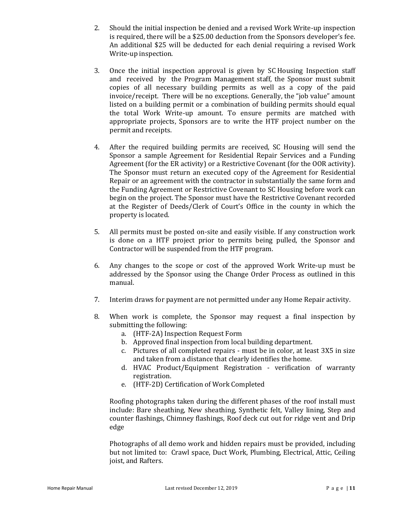- 2. Should the initial inspection be denied and a revised Work Write‐up inspection is required, there will be a \$25.00 deduction from the Sponsors developer's fee. An additional \$25 will be deducted for each denial requiring a revised Work Write‐up inspection.
- 3. Once the initial inspection approval is given by SC Housing Inspection staff and received by the Program Management staff, the Sponsor must submit copies of all necessary building permits as well as a copy of the paid invoice/receipt. There will be no exceptions. Generally, the "job value" amount listed on a building permit or a combination of building permits should equal the total Work Write‐up amount. To ensure permits are matched with appropriate projects, Sponsors are to write the HTF project number on the permit and receipts.
- 4. After the required building permits are received, SC Housing will send the Sponsor a sample Agreement for Residential Repair Services and a Funding Agreement (for the ER activity) or a Restrictive Covenant (for the OOR activity). The Sponsor must return an executed copy of the Agreement for Residential Repair or an agreement with the contractor in substantially the same form and the Funding Agreement or Restrictive Covenant to SC Housing before work can begin on the project. The Sponsor must have the Restrictive Covenant recorded at the Register of Deeds/Clerk of Court's Office in the county in which the property is located.
- 5. All permits must be posted on-site and easily visible. If any construction work is done on a HTF project prior to permits being pulled, the Sponsor and Contractor will be suspended from the HTF program.
- 6. Any changes to the scope or cost of the approved Work Write-up must be addressed by the Sponsor using the Change Order Process as outlined in this manual.
- 7. Interim draws for payment are not permitted under any Home Repair activity.
- 8. When work is complete, the Sponsor may request a final inspection by submitting the following:
	- a. (HTF-2A) Inspection Request Form
	- b. Approved final inspection from local building department.
	- c. Pictures of all completed repairs must be in color, at least 3X5 in size and taken from a distance that clearly identifies the home.
	- d. HVAC Product/Equipment Registration verification of warranty registration.
	- e. (HTF-2D) Certification of Work Completed

Roofing photographs taken during the different phases of the roof install must include: Bare sheathing, New sheathing, Synthetic felt, Valley lining, Step and counter flashings, Chimney flashings, Roof deck cut out for ridge vent and Drip edge

Photographs of all demo work and hidden repairs must be provided, including but not limited to: Crawl space, Duct Work, Plumbing, Electrical, Attic, Ceiling joist, and Rafters.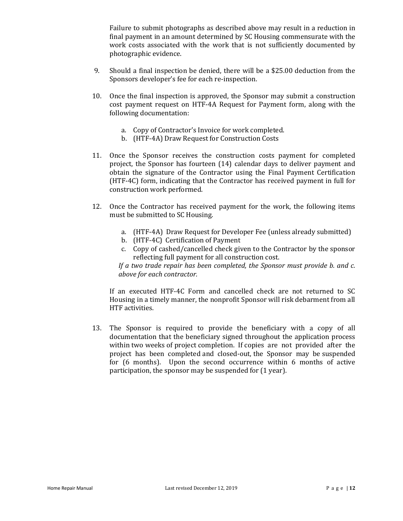Failure to submit photographs as described above may result in a reduction in final payment in an amount determined by SC Housing commensurate with the work costs associated with the work that is not sufficiently documented by photographic evidence.

- 9. Should a final inspection be denied, there will be a \$25.00 deduction from the Sponsors developer's fee for each re-inspection.
- 10. Once the final inspection is approved, the Sponsor may submit a construction cost payment request on HTF-4A Request for Payment form, along with the following documentation:
	- a. Copy of Contractor's Invoice for work completed.
	- b. (HTF-4A) Draw Request for Construction Costs
- 11. Once the Sponsor receives the construction costs payment for completed project, the Sponsor has fourteen (14) calendar days to deliver payment and obtain the signature of the Contractor using the Final Payment Certification (HTF-4C) form, indicating that the Contractor has received payment in full for construction work performed.
- 12. Once the Contractor has received payment for the work, the following items must be submitted to SC Housing.
	- a. (HTF-4A) Draw Request for Developer Fee (unless already submitted)
	- b. (HTF-4C) Certification of Payment
	- c. Copy of cashed/cancelled check given to the Contractor by the sponsor reflecting full payment for all construction cost.

*If a two trade repair has been completed, the Sponsor must provide b. and c. above for each contractor.* 

If an executed HTF-4C Form and cancelled check are not returned to SC Housing in a timely manner, the nonprofit Sponsor will risk debarment from all HTF activities.

13. The Sponsor is required to provide the beneficiary with a copy of all documentation that the beneficiary signed throughout the application process within two weeks of project completion. If copies are not provided after the project has been completed and closed-out, the Sponsor may be suspended for (6 months). Upon the second occurrence within 6 months of active participation, the sponsor may be suspended for (1 year).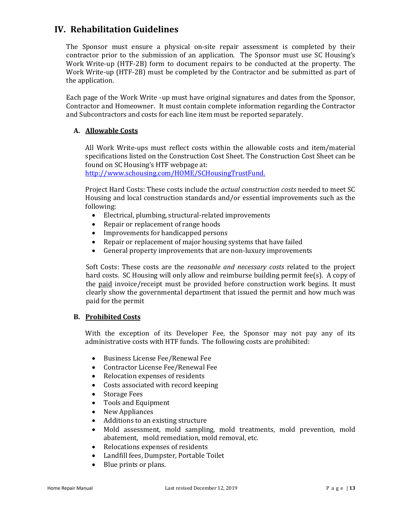## **IV. Rehabilitation Guidelines**

The Sponsor must ensure a physical on-site repair assessment is completed by their contractor prior to the submission of an application. The Sponsor must use SC Housing's Work Write-up (HTF-2B) form to document repairs to be conducted at the property. The Work Write-up (HTF-2B) must be completed by the Contractor and be submitted as part of the application.

Each page of the Work Write -up must have original signatures and dates from the Sponsor, Contractor and Homeowner. It must contain complete information regarding the Contractor and Subcontractors and costs for each line item must be reported separately.

#### **A. Allowable Costs**

All Work Write‐ups must reflect costs within the allowable costs and item/material specifications listed on the Construction Cost Sheet. The Construction Cost Sheet can be found on SC Housing's HTF webpage at:

[http://www.schousing.com/HOME/SCHousingTrustFund.](http://www.schousing.com/HOME/SCHousingTrustFund)

Project Hard Costs: These costs include the *actual construction costs* needed to meet SC Housing and local construction standards and/or essential improvements such as the following:

- Electrical, plumbing, structural-related improvements
- Repair or replacement of range hoods
- Improvements for handicapped persons
- Repair or replacement of major housing systems that have failed
- General property improvements that are non-luxury improvements

Soft Costs: These costs are the *reasonable and necessary costs* related to the project hard costs. SC Housing will only allow and reimburse building permit fee(s).A copy of the paid invoice/receipt must be provided before construction work begins. It must clearly show the governmental department that issued the permit and how much was paid for the permit

#### **B. Prohibited Costs**

With the exception of its Developer Fee, the Sponsor may not pay any of its administrative costs with HTF funds. The following costs are prohibited:

- Business License Fee/Renewal Fee
- Contractor License Fee/Renewal Fee
- Relocation expenses of residents
- Costs associated with record keeping
- Storage Fees
- Tools and Equipment
- New Appliances
- Additions to an existing structure
- Mold assessment, mold sampling, mold treatments, mold prevention, mold abatement, mold remediation, mold removal, etc.
- Relocations expenses of residents
- Landfill fees, Dumpster, Portable Toilet
- Blue prints or plans.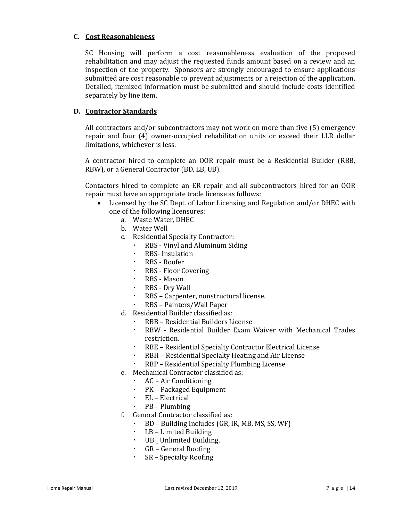#### **C. Cost Reasonableness**

SC Housing will perform a cost reasonableness evaluation of the proposed rehabilitation and may adjust the requested funds amount based on a review and an inspection of the property. Sponsors are strongly encouraged to ensure applications submitted are cost reasonable to prevent adjustments or a rejection of the application. Detailed, itemized information must be submitted and should include costs identified separately by line item.

#### **D. Contractor Standards**

All contractors and/or subcontractors may not work on more than five (5) emergency repair and four (4) owner-occupied rehabilitation units or exceed their LLR dollar limitations, whichever is less.

A contractor hired to complete an OOR repair must be a Residential Builder (RBB, RBW), or a General Contractor (BD, LB, UB).

Contactors hired to complete an ER repair and all subcontractors hired for an OOR repair must have an appropriate trade license as follows:

- Licensed by the SC Dept. of Labor Licensing and Regulation and/or DHEC with one of the following licensures:
	- a. Waste Water, DHEC
	- b. Water Well
	- c. Residential Specialty Contractor:
		- RBS Vinyl and Aluminum Siding
		- RBS- Insulation
		- RBS Roofer
		- RBS Floor Covering
		- RBS Mason
		- RBS Dry Wall
		- RBS Carpenter, nonstructural license.
		- RBS Painters/Wall Paper
	- d. Residential Builder classified as:
		- RBB Residential Builders License
		- RBW Residential Builder Exam Waiver with Mechanical Trades restriction.
		- RBE Residential Specialty Contractor Electrical License
		- RBH Residential Specialty Heating and Air License
		- RBP Residential Specialty Plumbing License
	- e. Mechanical Contractor classified as:
		- AC Air Conditioning
		- PK Packaged Equipment
		- EL Electrical
		- PB Plumbing
	- f. General Contractor classified as:
		- BD Building Includes (GR, IR, MB, MS, SS, WF)
		- LB Limited Building
		- UB \_ Unlimited Building.
		- GR General Roofing
		- SR Specialty Roofing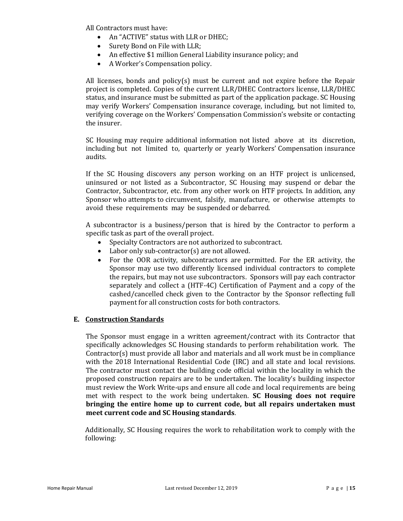All Contractors must have:

- An "ACTIVE" status with LLR or DHEC;
- Surety Bond on File with LLR;
- An effective \$1 million General Liability insurance policy; and
- A Worker's Compensation policy.

All licenses, bonds and policy(s) must be current and not expire before the Repair project is completed. Copies of the current LLR/DHEC Contractors license, LLR/DHEC status, and insurance must be submitted as part of the application package. SC Housing may verify Workers' Compensation insurance coverage, including, but not limited to, verifying coverage on the Workers' Compensation Commission's website or contacting the insurer.

SC Housing may require additional information not listed above at its discretion, including but not limited to, quarterly or yearly Workers' Compensation insurance audits.

If the SC Housing discovers any person working on an HTF project is unlicensed, uninsured or not listed as a Subcontractor, SC Housing may suspend or debar the Contractor, Subcontractor, etc. from any other work on HTF projects. In addition, any Sponsor who attempts to circumvent, falsify, manufacture, or otherwise attempts to avoid these requirements may be suspended or debarred.

A subcontractor is a business/person that is hired by the Contractor to perform a specific task as part of the overall project.

- Specialty Contractors are not authorized to subcontract.
- Labor only sub-contractor(s) are not allowed.
- For the OOR activity, subcontractors are permitted. For the ER activity, the Sponsor may use two differently licensed individual contractors to complete the repairs, but may not use subcontractors. Sponsors will pay each contractor separately and collect a (HTF-4C) Certification of Payment and a copy of the cashed/cancelled check given to the Contractor by the Sponsor reflecting full payment for all construction costs for both contractors.

#### **E. Construction Standards**

The Sponsor must engage in a written agreement/contract with its Contractor that specifically acknowledges SC Housing standards to perform rehabilitation work*.* The Contractor(s) must provide all labor and materials and all work must be in compliance with the 2018 International Residential Code (IRC) and all state and local revisions. The contractor must contact the building code official within the locality in which the proposed construction repairs are to be undertaken. The locality's building inspector must review the Work Write-ups and ensure all code and local requirements are being met with respect to the work being undertaken. **SC Housing does not require bringing the entire home up to current code, but all repairs undertaken must meet current code and SC Housing standards**.

Additionally, SC Housing requires the work to rehabilitation work to comply with the following: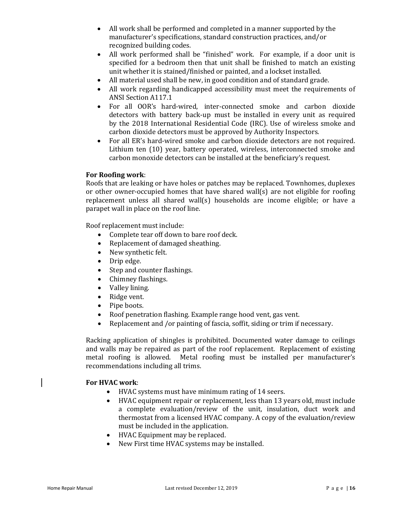- All work shall be performed and completed in a manner supported by the manufacturer's specifications, standard construction practices, and/or recognized building codes.
- All work performed shall be "finished" work. For example, if a door unit is specified for a bedroom then that unit shall be finished to match an existing unit whether it is stained/finished or painted, and a lockset installed.
- All material used shall be new, in good condition and of standard grade.
- All work regarding handicapped accessibility must meet the requirements of ANSI Section A117.1
- For all OOR's hard‐wired, inter‐connected smoke and carbon dioxide detectors with battery back‐up must be installed in every unit as required by the 2018 International Residential Code (IRC). Use of wireless smoke and carbon dioxide detectors must be approved by Authority Inspectors.
- For all ER's hard-wired smoke and carbon dioxide detectors are not required. Lithium ten (10) year, battery operated, wireless, interconnected smoke and carbon monoxide detectors can be installed at the beneficiary's request.

#### **For Roofing work**:

Roofs that are leaking or have holes or patches may be replaced. Townhomes, duplexes or other owner-occupied homes that have shared wall(s) are not eligible for roofing replacement unless all shared wall(s) households are income eligible; or have a parapet wall in place on the roof line.

Roof replacement must include:

- Complete tear off down to bare roof deck.
- Replacement of damaged sheathing.
- New synthetic felt.
- Drip edge.
- Step and counter flashings.
- Chimney flashings.
- Valley lining.
- Ridge vent.
- Pipe boots.
- Roof penetration flashing. Example range hood vent, gas vent.
- Replacement and /or painting of fascia, soffit, siding or trim if necessary.

Racking application of shingles is prohibited. Documented water damage to ceilings and walls may be repaired as part of the roof replacement. Replacement of existing metal roofing is allowed. Metal roofing must be installed per manufacturer's recommendations including all trims.

#### **For HVAC work**:

- HVAC systems must have minimum rating of 14 seers.
- HVAC equipment repair or replacement, less than 13 years old, must include a complete evaluation/review of the unit, insulation, duct work and thermostat from a licensed HVAC company. A copy of the evaluation/review must be included in the application.
- HVAC Equipment may be replaced.
- New First time HVAC systems may be installed.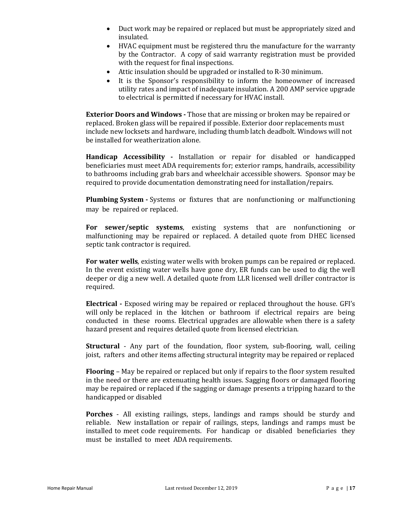- Duct work may be repaired or replaced but must be appropriately sized and insulated.
- HVAC equipment must be registered thru the manufacture for the warranty by the Contractor. A copy of said warranty registration must be provided with the request for final inspections.
- Attic insulation should be upgraded or installed to R-30 minimum.
- It is the Sponsor's responsibility to inform the homeowner of increased utility rates and impact of inadequate insulation. A 200 AMP service upgrade to electrical is permitted if necessary for HVAC install.

**Exterior Doors and Windows - Those that are missing or broken may be repaired or** replaced. Broken glass will be repaired if possible. Exterior door replacements must include new locksets and hardware, including thumb latch deadbolt. Windows will not be installed for weatherization alone.

**Handicap Accessibility ‐** Installation or repair for disabled or handicapped beneficiaries must meet ADA requirements for; exterior ramps, handrails, accessibility to bathrooms including grab bars and wheelchair accessible showers. Sponsor may be required to provide documentation demonstrating need for installation/repairs.

**Plumbing System -** Systems or fixtures that are nonfunctioning or malfunctioning may be repaired or replaced.

**For sewer/septic systems**, existing systems that are nonfunctioning or malfunctioning may be repaired or replaced. A detailed quote from DHEC licensed septic tank contractor is required.

**For water wells**, existing water wells with broken pumps can be repaired or replaced. In the event existing water wells have gone dry, ER funds can be used to dig the well deeper or dig a new well. A detailed quote from LLR licensed well driller contractor is required.

**Electrical ‐** Exposed wiring may be repaired or replaced throughout the house. GFI's will only be replaced in the kitchen or bathroom if electrical repairs are being conducted in these rooms. Electrical upgrades are allowable when there is a safety hazard present and requires detailed quote from licensed electrician.

**Structural** - Any part of the foundation, floor system, sub-flooring, wall, ceiling joist, rafters and other items affecting structural integrity may be repaired or replaced

**Flooring** – May be repaired or replaced but only if repairs to the floor system resulted in the need or there are extenuating health issues. Sagging floors or damaged flooring may be repaired or replaced if the sagging or damage presents a tripping hazard to the handicapped or disabled

**Porches** ‐ All existing railings, steps, landings and ramps should be sturdy and reliable. New installation or repair of railings, steps, landings and ramps must be installed to meet code requirements. For handicap or disabled beneficiaries they must be installed to meet ADA requirements.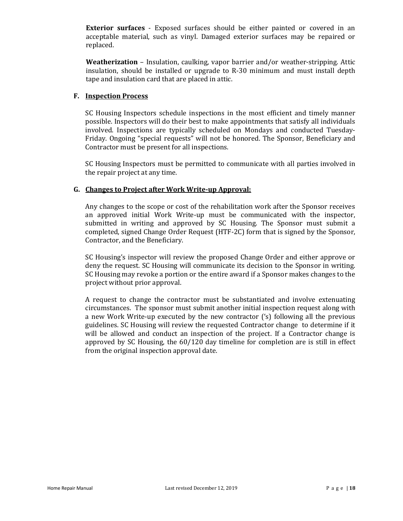**Exterior surfaces** - Exposed surfaces should be either painted or covered in an acceptable material, such as vinyl. Damaged exterior surfaces may be repaired or replaced.

**Weatherization** – Insulation, caulking, vapor barrier and/or weather‐stripping. Attic insulation, should be installed or upgrade to R-30 minimum and must install depth tape and insulation card that are placed in attic.

#### **F. Inspection Process**

SC Housing Inspectors schedule inspections in the most efficient and timely manner possible. Inspectors will do their best to make appointments that satisfy all individuals involved. Inspections are typically scheduled on Mondays and conducted Tuesday-Friday. Ongoing "special requests" will not be honored. The Sponsor, Beneficiary and Contractor must be present for all inspections.

SC Housing Inspectors must be permitted to communicate with all parties involved in the repair project at any time.

#### **G. Changes to Project after Work Write-up Approval:**

Any changes to the scope or cost of the rehabilitation work after the Sponsor receives an approved initial Work Write-up must be communicated with the inspector, submitted in writing and approved by SC Housing. The Sponsor must submit a completed, signed Change Order Request (HTF-2C) form that is signed by the Sponsor, Contractor, and the Beneficiary.

SC Housing's inspector will review the proposed Change Order and either approve or deny the request. SC Housing will communicate its decision to the Sponsor in writing. SC Housing may revoke a portion or the entire award if a Sponsor makes changes to the project without prior approval.

A request to change the contractor must be substantiated and involve extenuating circumstances. The sponsor must submit another initial inspection request along with a new Work Write-up executed by the new contractor ('s) following all the previous guidelines. SC Housing will review the requested Contractor change to determine if it will be allowed and conduct an inspection of the project. If a Contractor change is approved by SC Housing, the 60/120 day timeline for completion are is still in effect from the original inspection approval date.